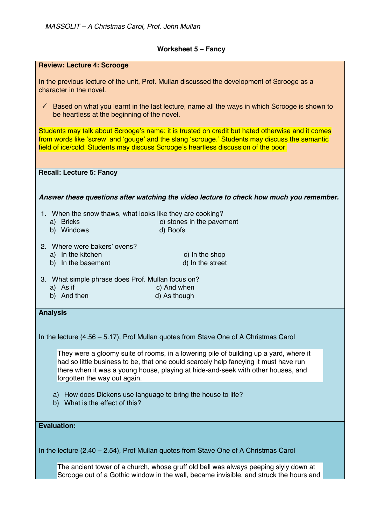## **Worksheet 5 – Fancy**

| <b>Review: Lecture 4: Scrooge</b>                                                                                                                                                                                                                                                         |
|-------------------------------------------------------------------------------------------------------------------------------------------------------------------------------------------------------------------------------------------------------------------------------------------|
| In the previous lecture of the unit, Prof. Mullan discussed the development of Scrooge as a<br>character in the novel.                                                                                                                                                                    |
| $\checkmark$ Based on what you learnt in the last lecture, name all the ways in which Scrooge is shown to<br>be heartless at the beginning of the novel.                                                                                                                                  |
| Students may talk about Scrooge's name: it is trusted on credit but hated otherwise and it comes<br>from words like 'screw' and 'gouge' and the slang 'scrouge.' Students may discuss the semantic<br>field of ice/cold. Students may discuss Scrooge's heartless discussion of the poor. |
| <b>Recall: Lecture 5: Fancy</b>                                                                                                                                                                                                                                                           |
|                                                                                                                                                                                                                                                                                           |
| Answer these questions after watching the video lecture to check how much you remember.                                                                                                                                                                                                   |
|                                                                                                                                                                                                                                                                                           |
| 1. When the snow thaws, what looks like they are cooking?<br>a) Bricks<br>c) stones in the pavement                                                                                                                                                                                       |
| b) Windows<br>d) Roofs                                                                                                                                                                                                                                                                    |
|                                                                                                                                                                                                                                                                                           |
| 2. Where were bakers' ovens?                                                                                                                                                                                                                                                              |
| a) In the kitchen<br>c) In the shop                                                                                                                                                                                                                                                       |
| b) In the basement<br>d) In the street                                                                                                                                                                                                                                                    |
| 3. What simple phrase does Prof. Mullan focus on?                                                                                                                                                                                                                                         |
| a) As if<br>c) And when                                                                                                                                                                                                                                                                   |
| b) And then<br>d) As though                                                                                                                                                                                                                                                               |
|                                                                                                                                                                                                                                                                                           |
| <b>Analysis</b>                                                                                                                                                                                                                                                                           |
|                                                                                                                                                                                                                                                                                           |
| In the lecture (4.56 - 5.17), Prof Mullan quotes from Stave One of A Christmas Carol                                                                                                                                                                                                      |
|                                                                                                                                                                                                                                                                                           |
| They were a gloomy suite of rooms, in a lowering pile of building up a yard, where it                                                                                                                                                                                                     |
| had so little business to be, that one could scarcely help fancying it must have run                                                                                                                                                                                                      |
| there when it was a young house, playing at hide-and-seek with other houses, and                                                                                                                                                                                                          |
| forgotten the way out again.                                                                                                                                                                                                                                                              |
| How does Dickens use language to bring the house to life?<br>a)                                                                                                                                                                                                                           |
| b) What is the effect of this?                                                                                                                                                                                                                                                            |
|                                                                                                                                                                                                                                                                                           |
|                                                                                                                                                                                                                                                                                           |
| <b>Evaluation:</b>                                                                                                                                                                                                                                                                        |
|                                                                                                                                                                                                                                                                                           |
| In the lecture $(2.40 - 2.54)$ , Prof Mullan quotes from Stave One of A Christmas Carol                                                                                                                                                                                                   |
|                                                                                                                                                                                                                                                                                           |
| The ancient tower of a church, whose gruff old bell was always peeping slyly down at                                                                                                                                                                                                      |

Scrooge out of a Gothic window in the wall, became invisible, and struck the hours and